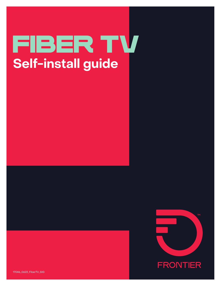# Fiber TV **Self-install guide**

**TM FRONTIER** 

17046\_0622\_FiberTV\_SIG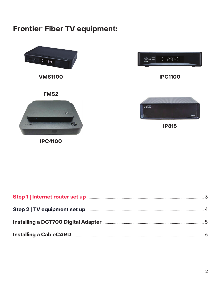### Frontier Fiber TV equipment:

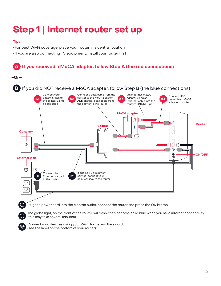### **Step 1** | **Internet router set up**

#### **Tips**

- For best Wi-Fi coverage, place your router in a central location
- If you are also connecting TV equipment, install your router first

#### **A If you received a MoCA adapter, follow Step A (the red connections)**



The globe light, on the front of the router, will flash, then become solid blue when you have internet connectivity (this may take several minutes)



∰

Connect your devices using your Wi-Fi Name and Password (see the label on the bottom of your router)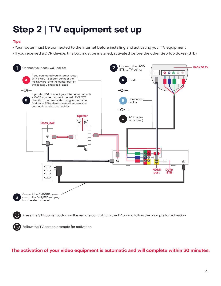## **Step 2** | **TV equipment set up**

#### **Tips**

- Your router must be connected to the internet before installing and activating your TV equipment
- If you received a DVR device, this box must be installed/activated before the other Set-Top Boxes (STB)



Press the STB power button on the remote control, turn the TV on and follow the prompts for activation

Follow the TV screen prompts for activation

#### **The activation of your video equipment is automatic and will complete within 30 minutes.**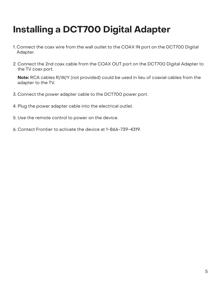## **Installing a DCT700 Digital Adapter**

- 1. Connect the coax wire from the wall outlet to the COAX IN port on the DCT700 Digital Adapter.
- 2. Connect the 2nd coax cable from the COAX OUT port on the DCT700 Digital Adapter to the TV coax port.

**Note:** RCA cables R/W/Y (not provided) could be used in lieu of coaxial cables from the adapter to the TV.

- 3. Connect the power adapter cable to the DCT700 power port.
- 4. Plug the power adapter cable into the electrical outlet.
- 5. Use the remote control to power on the device.
- 6. Contact Frontier to activate the device at 1-866-739-4319.